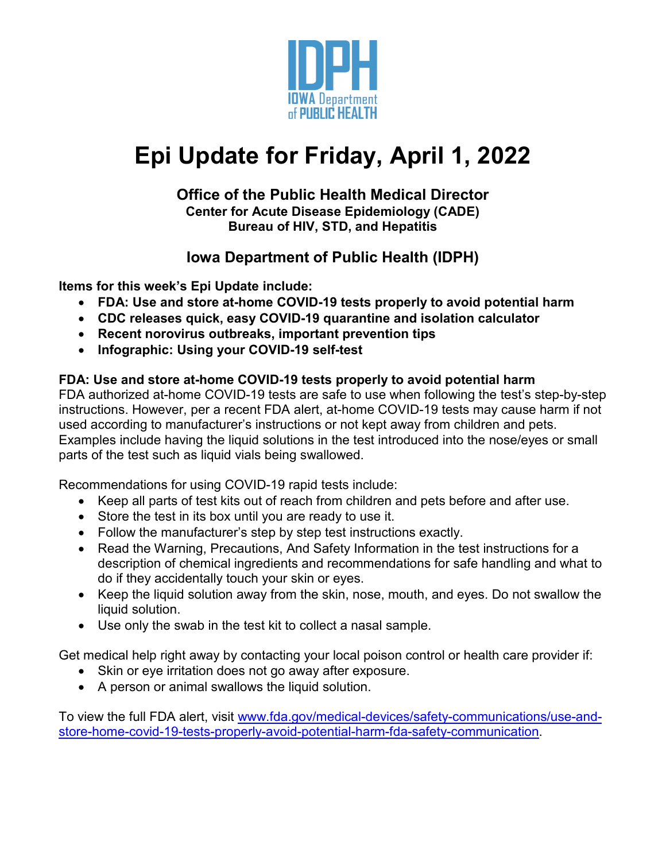

# **Epi Update for Friday, April 1, 2022**

#### **Office of the Public Health Medical Director Center for Acute Disease Epidemiology (CADE) Bureau of HIV, STD, and Hepatitis**

### **Iowa Department of Public Health (IDPH)**

**Items for this week's Epi Update include:**

- **FDA: Use and store at-home COVID-19 tests properly to avoid potential harm**
- **CDC releases quick, easy COVID-19 quarantine and isolation calculator**
- **Recent norovirus outbreaks, important prevention tips**
- **Infographic: Using your COVID-19 self-test**

#### **FDA: Use and store at-home COVID-19 tests properly to avoid potential harm**

FDA authorized at-home COVID-19 tests are safe to use when following the test's step-by-step instructions. However, per a recent FDA alert, at-home COVID-19 tests may cause harm if not used according to manufacturer's instructions or not kept away from children and pets. Examples include having the liquid solutions in the test introduced into the nose/eyes or small parts of the test such as liquid vials being swallowed.

Recommendations for using COVID-19 rapid tests include:

- Keep all parts of test kits out of reach from children and pets before and after use.
- Store the test in its box until you are ready to use it.
- Follow the manufacturer's step by step test instructions exactly.
- Read the Warning, Precautions, And Safety Information in the test instructions for a description of chemical ingredients and recommendations for safe handling and what to do if they accidentally touch your skin or eyes.
- Keep the liquid solution away from the skin, nose, mouth, and eyes. Do not swallow the liquid solution.
- Use only the swab in the test kit to collect a nasal sample.

Get medical help right away by contacting your local poison control or health care provider if:

- Skin or eye irritation does not go away after exposure.
- A person or animal swallows the liquid solution.

To view the full FDA alert, visit [www.fda.gov/medical-devices/safety-communications/use-and](http://www.fda.gov/medical-devices/safety-communications/use-and-store-home-covid-19-tests-properly-avoid-potential-harm-fda-safety-communication)[store-home-covid-19-tests-properly-avoid-potential-harm-fda-safety-communication.](http://www.fda.gov/medical-devices/safety-communications/use-and-store-home-covid-19-tests-properly-avoid-potential-harm-fda-safety-communication)